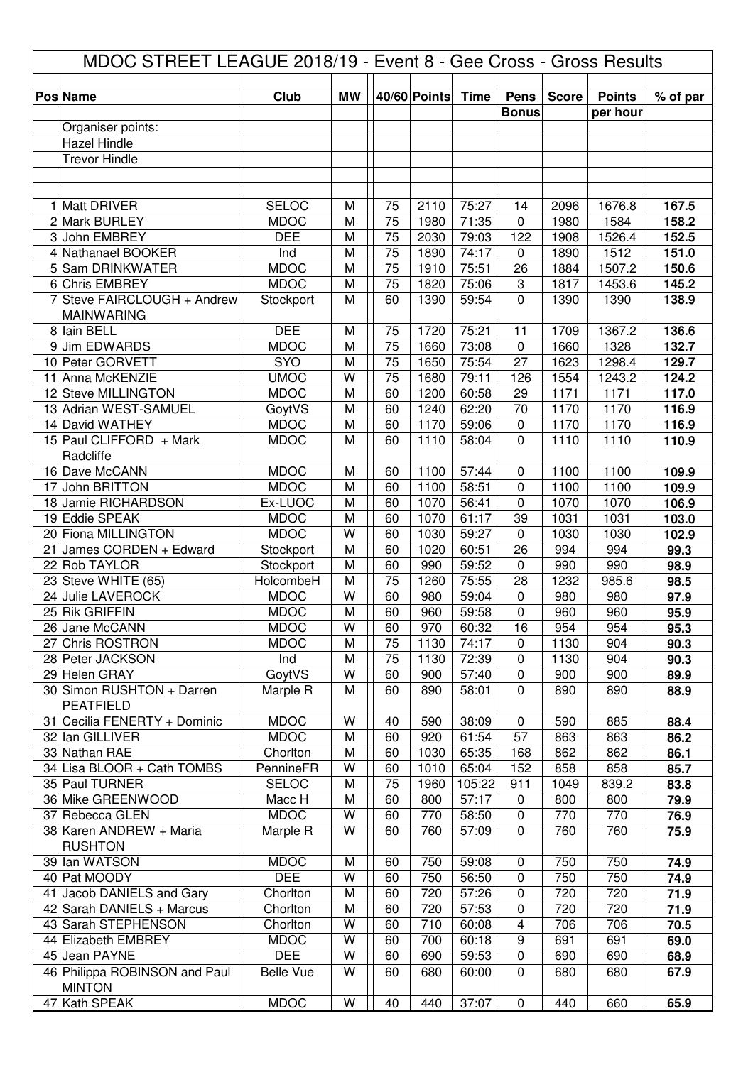| MDOC STREET LEAGUE 2018/19 - Event 8 - Gee Cross - Gross Results |                                                |                            |           |                 |              |                 |                    |              |               |                |
|------------------------------------------------------------------|------------------------------------------------|----------------------------|-----------|-----------------|--------------|-----------------|--------------------|--------------|---------------|----------------|
|                                                                  | <b>Pos Name</b>                                | Club                       | <b>MW</b> |                 | 40/60 Points | <b>Time</b>     | <b>Pens</b>        | <b>Score</b> | <b>Points</b> | % of par       |
|                                                                  |                                                |                            |           |                 |              |                 | <b>Bonus</b>       |              | per hour      |                |
|                                                                  | Organiser points:                              |                            |           |                 |              |                 |                    |              |               |                |
|                                                                  | Hazel Hindle<br><b>Trevor Hindle</b>           |                            |           |                 |              |                 |                    |              |               |                |
|                                                                  |                                                |                            |           |                 |              |                 |                    |              |               |                |
|                                                                  |                                                |                            |           |                 |              |                 |                    |              |               |                |
|                                                                  | 1 Matt DRIVER                                  | <b>SELOC</b>               | M         | 75              | 2110         | 75:27           | 14                 | 2096         | 1676.8        | 167.5          |
|                                                                  | 2 Mark BURLEY                                  | <b>MDOC</b>                | M         | 75              | 1980         | 71:35           | $\mathbf 0$        | 1980         | 1584          | 158.2          |
|                                                                  | 3 John EMBREY                                  | <b>DEE</b>                 | M         | $\overline{75}$ | 2030         | 79:03           | 122                | 1908         | 1526.4        | 152.5          |
|                                                                  | 4 Nathanael BOOKER                             | Ind                        | M         | 75              | 1890         | 74:17           | $\mathbf 0$        | 1890         | 1512          | 151.0          |
|                                                                  | 5 Sam DRINKWATER                               | <b>MDOC</b>                | M         | $\overline{75}$ | 1910         | 75:51           | 26                 | 1884         | 1507.2        | 150.6          |
| 6                                                                | Chris EMBREY                                   | <b>MDOC</b>                | M         | $\overline{75}$ | 1820         | 75:06           | 3                  | 1817         | 1453.6        | 145.2          |
| 7                                                                | Steve FAIRCLOUGH + Andrew<br><b>MAINWARING</b> | Stockport                  | M         | 60              | 1390         | 59:54           | $\overline{0}$     | 1390         | 1390          | 138.9          |
| 8                                                                | lain BELL                                      | <b>DEE</b>                 | M         | 75              | 1720         | 75:21           | 11                 | 1709         | 1367.2        | 136.6          |
| 9                                                                | <b>Jim EDWARDS</b>                             | <b>MDOC</b>                | M         | $\overline{75}$ | 1660         | 73:08           | $\mathbf 0$        | 1660         | 1328          | 132.7          |
|                                                                  | 10 Peter GORVETT                               | SYO                        | M         | 75              | 1650         | 75:54           | 27                 | 1623         | 1298.4        | 129.7          |
| 11                                                               | Anna McKENZIE                                  | <b>UMOC</b>                | W         | 75              | 1680         | 79:11           | 126                | 1554         | 1243.2        | 124.2          |
|                                                                  | 12 Steve MILLINGTON<br>13 Adrian WEST-SAMUEL   | <b>MDOC</b>                | M<br>M    | 60<br>60        | 1200<br>1240 | 60:58<br>62:20  | 29<br>70           | 1171<br>1170 | 1171<br>1170  | 117.0          |
|                                                                  | 14 David WATHEY                                | GoytVS<br><b>MDOC</b>      | M         | 60              | 1170         | 59:06           | 0                  | 1170         | 1170          | 116.9<br>116.9 |
|                                                                  | 15 Paul CLIFFORD + Mark                        | <b>MDOC</b>                | M         | 60              | 1110         | 58:04           | 0                  | 1110         | 1110          | 110.9          |
|                                                                  | Radcliffe                                      |                            |           |                 |              |                 |                    |              |               |                |
|                                                                  | 16 Dave McCANN                                 | <b>MDOC</b>                | M         | 60              | 1100         | 57:44           | 0                  | 1100         | 1100          | 109.9          |
|                                                                  | 17 John BRITTON                                | <b>MDOC</b>                | M         | 60              | 1100         | 58:51           | 0                  | 1100         | 1100          | 109.9          |
|                                                                  | 18 Jamie RICHARDSON                            | Ex-LUOC                    | M         | 60              | 1070         | 56:41           | 0                  | 1070         | 1070          | 106.9          |
|                                                                  | 19 Eddie SPEAK                                 | <b>MDOC</b>                | M         | 60              | 1070         | 61:17           | 39                 | 1031         | 1031          | 103.0          |
|                                                                  | 20 Fiona MILLINGTON                            | <b>MDOC</b>                | W         | 60              | 1030         | 59:27           | $\mathbf 0$        | 1030         | 1030          | 102.9          |
| 21                                                               | James CORDEN + Edward                          | Stockport                  | M         | 60              | 1020         | 60:51           | 26                 | 994          | 994           | 99.3           |
| 22                                                               | <b>Rob TAYLOR</b>                              | Stockport                  | M         | 60              | 990          | 59:52           | 0                  | 990          | 990           | 98.9           |
|                                                                  | 23 Steve WHITE (65)                            | HolcombeH                  | M<br>W    | 75<br>60        | 1260         | 75:55           | 28                 | 1232         | 985.6         | 98.5           |
| 24                                                               | Julie LAVEROCK<br>25 Rik GRIFFIN               | <b>MDOC</b><br><b>MDOC</b> | M         | 60              | 980<br>960   | 59:04<br>59:58  | 0<br>0             | 980<br>960   | 980<br>960    | 97.9<br>95.9   |
|                                                                  | 26 Jane McCANN                                 | <b>MDOC</b>                | W         | 60              | 970          | 60:32           | 16                 | 954          | 954           | 95.3           |
|                                                                  | 27 Chris ROSTRON                               | <b>MDOC</b>                | M         | 75              | 1130         | 74:17           | 0                  | 1130         | 904           | 90.3           |
|                                                                  | 28 Peter JACKSON                               | Ind                        | M         | 75              | 1130         | 72:39           | $\mathbf 0$        | 1130         | 904           | 90.3           |
|                                                                  | 29 Helen GRAY                                  | GoytVS                     | W         | 60              | 900          | 57:40           | $\pmb{0}$          | 900          | 900           | 89.9           |
|                                                                  | 30 Simon RUSHTON + Darren                      | Marple R                   | M         | 60              | 890          | 58:01           | $\mathbf 0$        | 890          | 890           | 88.9           |
|                                                                  | <b>PEATFIELD</b>                               |                            |           |                 |              |                 |                    |              |               |                |
|                                                                  | 31 Cecilia FENERTY + Dominic                   | <b>MDOC</b>                | W         | 40              | 590          | 38:09           | $\mathbf 0$        | 590          | 885           | 88.4           |
|                                                                  | 32 Ian GILLIVER                                | <b>MDOC</b>                | M         | 60              | 920          | 61:54           | 57                 | 863          | 863           | 86.2           |
|                                                                  | 33 Nathan RAE                                  | Chorlton                   | M         | 60              | 1030         | 65:35           | 168                | 862          | 862           | 86.1           |
|                                                                  | 34 Lisa BLOOR + Cath TOMBS                     | PennineFR                  | W         | 60              | 1010         | 65:04           | 152                | 858          | 858           | 85.7           |
|                                                                  | 35 Paul TURNER<br>36 Mike GREENWOOD            | <b>SELOC</b><br>Macc H     | M<br>M    | 75<br>60        | 1960<br>800  | 105:22<br>57:17 | 911<br>$\mathbf 0$ | 1049<br>800  | 839.2<br>800  | 83.8<br>79.9   |
|                                                                  | 37 Rebecca GLEN                                | <b>MDOC</b>                | W         | 60              | 770          | 58:50           | 0                  | 770          | 770           | 76.9           |
|                                                                  | 38 Karen ANDREW + Maria                        | Marple R                   | W         | 60              | 760          | 57:09           | $\mathbf 0$        | 760          | 760           | 75.9           |
|                                                                  | <b>RUSHTON</b>                                 |                            |           |                 |              |                 |                    |              |               |                |
|                                                                  | 39 Ian WATSON                                  | <b>MDOC</b>                | M         | 60              | 750          | 59:08           | 0                  | 750          | 750           | 74.9           |
|                                                                  | 40 Pat MOODY                                   | <b>DEE</b>                 | W         | 60              | 750          | 56:50           | 0                  | 750          | 750           | 74.9           |
|                                                                  | 41 Jacob DANIELS and Gary                      | Chorlton                   | M         | 60              | 720          | 57:26           | 0                  | 720          | 720           | 71.9           |
|                                                                  | 42 Sarah DANIELS + Marcus                      | Chorlton                   | M         | 60              | 720          | 57:53           | 0                  | 720          | 720           | 71.9           |
|                                                                  | 43 Sarah STEPHENSON                            | Chorlton                   | W         | 60              | 710          | 60:08           | 4                  | 706          | 706           | 70.5           |
|                                                                  | 44 Elizabeth EMBREY                            | <b>MDOC</b>                | W         | 60              | 700          | 60:18           | 9                  | 691          | 691           | 69.0           |
|                                                                  | 45 Jean PAYNE                                  | <b>DEE</b>                 | W         | 60              | 690          | 59:53           | 0                  | 690          | 690           | 68.9           |
|                                                                  | 46 Philippa ROBINSON and Paul<br><b>MINTON</b> | <b>Belle Vue</b>           | W         | 60              | 680          | 60:00           | 0                  | 680          | 680           | 67.9           |
|                                                                  | 47 Kath SPEAK                                  | <b>MDOC</b>                | W         | 40              | 440          | 37:07           | $\pmb{0}$          | 440          | 660           | 65.9           |